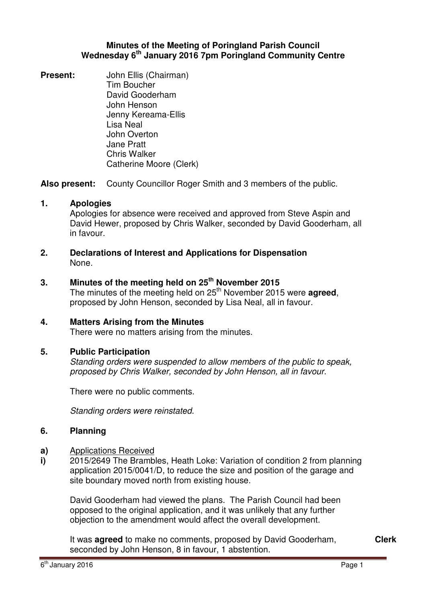### **Minutes of the Meeting of Poringland Parish Council Wednesday 6th January 2016 7pm Poringland Community Centre**

**Present:** John Ellis (Chairman) Tim Boucher David Gooderham John Henson Jenny Kereama-Ellis Lisa Neal John Overton Jane Pratt Chris Walker Catherine Moore (Clerk)

**Also present:** County Councillor Roger Smith and 3 members of the public.

### **1. Apologies**

Apologies for absence were received and approved from Steve Aspin and David Hewer, proposed by Chris Walker, seconded by David Gooderham, all in favour.

**2. Declarations of Interest and Applications for Dispensation** None.

### **3. Minutes of the meeting held on 25th November 2015**

The minutes of the meeting held on 25<sup>th</sup> November 2015 were **agreed**, proposed by John Henson, seconded by Lisa Neal, all in favour.

# **4. Matters Arising from the Minutes**

There were no matters arising from the minutes.

### **5. Public Participation**

Standing orders were suspended to allow members of the public to speak, proposed by Chris Walker, seconded by John Henson, all in favour.

There were no public comments.

Standing orders were reinstated.

#### **6. Planning**

- **a)**  Applications Received
- **i)**  2015/2649 The Brambles, Heath Loke: Variation of condition 2 from planning application 2015/0041/D, to reduce the size and position of the garage and site boundary moved north from existing house.

David Gooderham had viewed the plans. The Parish Council had been opposed to the original application, and it was unlikely that any further objection to the amendment would affect the overall development.

It was **agreed** to make no comments, proposed by David Gooderham, seconded by John Henson, 8 in favour, 1 abstention.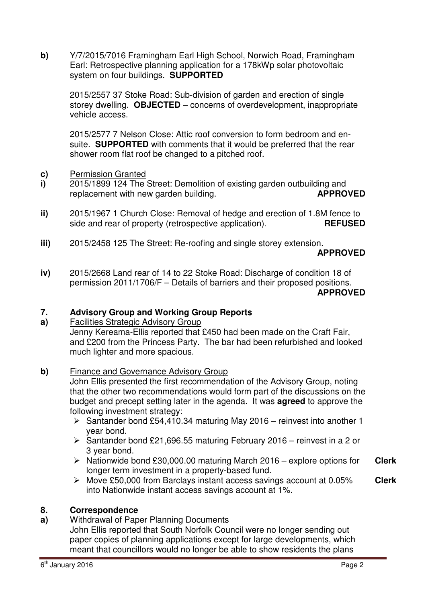**b)** Y/7/2015/7016 Framingham Earl High School, Norwich Road, Framingham Earl: Retrospective planning application for a 178kWp solar photovoltaic system on four buildings. **SUPPORTED** 

2015/2557 37 Stoke Road: Sub-division of garden and erection of single storey dwelling. **OBJECTED** – concerns of overdevelopment, inappropriate vehicle access.

2015/2577 7 Nelson Close: Attic roof conversion to form bedroom and ensuite. **SUPPORTED** with comments that it would be preferred that the rear shower room flat roof be changed to a pitched roof.

- **c)** Permission Granted
- **i)**  2015/1899 124 The Street: Demolition of existing garden outbuilding and replacement with new garden building. **APPROVED**
- **ii)**  2015/1967 1 Church Close: Removal of hedge and erection of 1.8M fence to side and rear of property (retrospective application). **REFUSED**
- **iii)**  2015/2458 125 The Street: Re-roofing and single storey extension.

### **APPROVED**

**iv)**  2015/2668 Land rear of 14 to 22 Stoke Road: Discharge of condition 18 of permission 2011/1706/F – Details of barriers and their proposed positions. **APPROVED**

#### **7. Advisory Group and Working Group Reports**

### **a)**  Facilities Strategic Advisory Group Jenny Kereama-Ellis reported that £450 had been made on the Craft Fair, and £200 from the Princess Party. The bar had been refurbished and looked much lighter and more spacious.

### **b)** Finance and Governance Advisory Group

John Ellis presented the first recommendation of the Advisory Group, noting that the other two recommendations would form part of the discussions on the budget and precept setting later in the agenda. It was **agreed** to approve the following investment strategy:

- $\triangleright$  Santander bond £54,410.34 maturing May 2016 reinvest into another 1 year bond.
- $\geq$  Santander bond £21,696.55 maturing February 2016 reinvest in a 2 or 3 year bond.
- $\triangleright$  Nationwide bond £30,000,00 maturing March 2016 explore options for longer term investment in a property-based fund. **Clerk**
- Move £50,000 from Barclays instant access savings account at 0.05% into Nationwide instant access savings account at 1%. **Clerk**

#### **8. Correspondence**

**a)**  Withdrawal of Paper Planning Documents

John Ellis reported that South Norfolk Council were no longer sending out paper copies of planning applications except for large developments, which meant that councillors would no longer be able to show residents the plans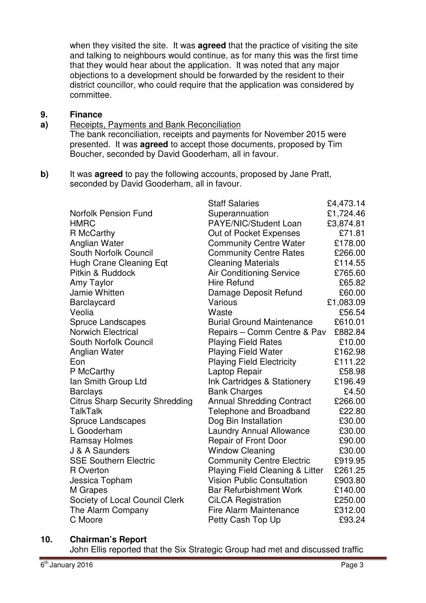when they visited the site. It was **agreed** that the practice of visiting the site and talking to neighbours would continue, as for many this was the first time that they would hear about the application. It was noted that any major objections to a development should be forwarded by the resident to their district councillor, who could require that the application was considered by committee.

#### **9. Finance**

#### **a)**  Receipts, Payments and Bank Reconciliation

The bank reconciliation, receipts and payments for November 2015 were presented. It was **agreed** to accept those documents, proposed by Tim Boucher, seconded by David Gooderham, all in favour.

**b)** It was **agreed** to pay the following accounts, proposed by Jane Pratt, seconded by David Gooderham, all in favour.

|                                        | <b>Staff Salaries</b>             | £4,473.14 |
|----------------------------------------|-----------------------------------|-----------|
| <b>Norfolk Pension Fund</b>            | Superannuation                    | £1,724.46 |
| <b>HMRC</b>                            | PAYE/NIC/Student Loan             | £3,874.81 |
| R McCarthy                             | Out of Pocket Expenses            | £71.81    |
| Anglian Water                          | <b>Community Centre Water</b>     | £178.00   |
| <b>South Norfolk Council</b>           | <b>Community Centre Rates</b>     | £266.00   |
| <b>Hugh Crane Cleaning Eqt</b>         | <b>Cleaning Materials</b>         | £114.55   |
| Pitkin & Ruddock                       | <b>Air Conditioning Service</b>   | £765.60   |
| Amy Taylor                             | <b>Hire Refund</b>                | £65.82    |
| Jamie Whitten                          | Damage Deposit Refund             | £60.00    |
| Barclaycard                            | Various                           | £1,083.09 |
| Veolia                                 | Waste                             | £56.54    |
| <b>Spruce Landscapes</b>               | <b>Burial Ground Maintenance</b>  | £610.01   |
| <b>Norwich Electrical</b>              | Repairs – Comm Centre & Pav       | £882.84   |
| South Norfolk Council                  | <b>Playing Field Rates</b>        | £10.00    |
| Anglian Water                          | <b>Playing Field Water</b>        | £162.98   |
| Eon                                    | <b>Playing Field Electricity</b>  | £111.22   |
| P McCarthy                             | Laptop Repair                     | £58.98    |
| Ian Smith Group Ltd                    | Ink Cartridges & Stationery       | £196.49   |
| <b>Barclays</b>                        | <b>Bank Charges</b>               | £4.50     |
| <b>Citrus Sharp Security Shredding</b> | <b>Annual Shredding Contract</b>  | £266.00   |
| <b>TalkTalk</b>                        | <b>Telephone and Broadband</b>    | £22.80    |
| Spruce Landscapes                      | Dog Bin Installation              | £30.00    |
| L Gooderham                            | <b>Laundry Annual Allowance</b>   | £30.00    |
| <b>Ramsay Holmes</b>                   | Repair of Front Door              | £90.00    |
| J & A Saunders                         | <b>Window Cleaning</b>            | £30.00    |
| <b>SSE Southern Electric</b>           | <b>Community Centre Electric</b>  | £919.95   |
| R Overton                              | Playing Field Cleaning & Litter   | £261.25   |
| Jessica Topham                         | <b>Vision Public Consultation</b> | £903.80   |
| M Grapes                               | <b>Bar Refurbishment Work</b>     | £140.00   |
| Society of Local Council Clerk         | <b>CiLCA Registration</b>         | £250.00   |
| The Alarm Company                      | <b>Fire Alarm Maintenance</b>     | £312.00   |
| C Moore                                | Petty Cash Top Up                 | £93.24    |

### **10. Chairman's Report**

John Ellis reported that the Six Strategic Group had met and discussed traffic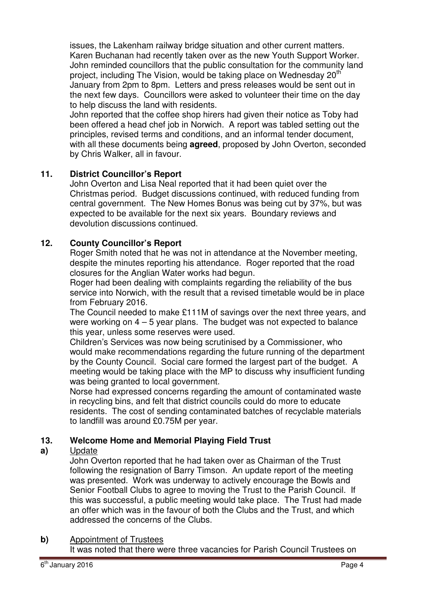issues, the Lakenham railway bridge situation and other current matters. Karen Buchanan had recently taken over as the new Youth Support Worker. John reminded councillors that the public consultation for the community land project, including The Vision, would be taking place on Wednesday 20<sup>th</sup> January from 2pm to 8pm. Letters and press releases would be sent out in the next few days. Councillors were asked to volunteer their time on the day to help discuss the land with residents.

John reported that the coffee shop hirers had given their notice as Toby had been offered a head chef job in Norwich. A report was tabled setting out the principles, revised terms and conditions, and an informal tender document, with all these documents being **agreed**, proposed by John Overton, seconded by Chris Walker, all in favour.

# **11. District Councillor's Report**

John Overton and Lisa Neal reported that it had been quiet over the Christmas period. Budget discussions continued, with reduced funding from central government. The New Homes Bonus was being cut by 37%, but was expected to be available for the next six years. Boundary reviews and devolution discussions continued.

# **12. County Councillor's Report**

Roger Smith noted that he was not in attendance at the November meeting, despite the minutes reporting his attendance. Roger reported that the road closures for the Anglian Water works had begun.

Roger had been dealing with complaints regarding the reliability of the bus service into Norwich, with the result that a revised timetable would be in place from February 2016.

The Council needed to make £111M of savings over the next three years, and were working on 4 – 5 year plans. The budget was not expected to balance this year, unless some reserves were used.

Children's Services was now being scrutinised by a Commissioner, who would make recommendations regarding the future running of the department by the County Council. Social care formed the largest part of the budget. A meeting would be taking place with the MP to discuss why insufficient funding was being granted to local government.

Norse had expressed concerns regarding the amount of contaminated waste in recycling bins, and felt that district councils could do more to educate residents. The cost of sending contaminated batches of recyclable materials to landfill was around £0.75M per year.

#### **13. Welcome Home and Memorial Playing Field Trust**

#### **a)**  Update

John Overton reported that he had taken over as Chairman of the Trust following the resignation of Barry Timson. An update report of the meeting was presented. Work was underway to actively encourage the Bowls and Senior Football Clubs to agree to moving the Trust to the Parish Council. If this was successful, a public meeting would take place. The Trust had made an offer which was in the favour of both the Clubs and the Trust, and which addressed the concerns of the Clubs.

# **b)** Appointment of Trustees

It was noted that there were three vacancies for Parish Council Trustees on